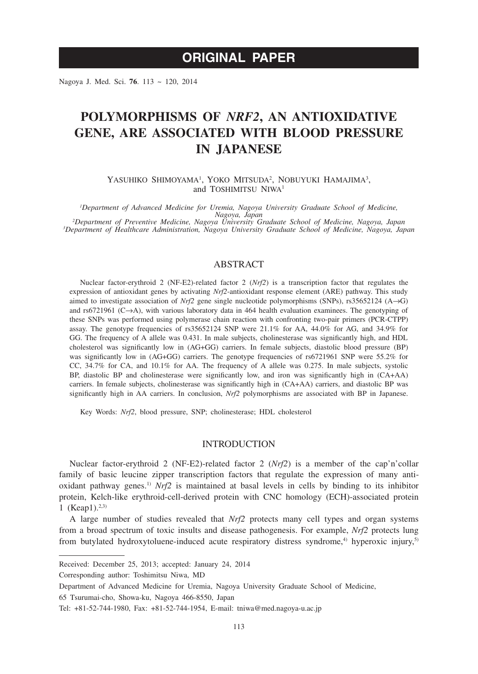# **ORIGINAL PAPER**

Nagoya J. Med. Sci. **76**. 113 ~ 120, 2014

# **POLYMORPHISMS OF** *NRF2***, AN ANTIOXIDATIVE GENE, ARE ASSOCIATED WITH BLOOD PRESSURE IN JAPANESE**

YASUHIKO SHIMOYAMA<sup>1</sup>, YOKO MITSUDA<sup>2</sup>, NOBUYUKI HAMAJIMA<sup>3</sup>, and TOSHIMITSU NIWA<sup>1</sup>

*1 Department of Advanced Medicine for Uremia, Nagoya University Graduate School of Medicine, Nagoya, Japan <sup>2</sup> Department of Preventive Medicine, Nagoya University Graduate School of Medicine, Nagoya, Japan <sup>3</sup> Department of Healthcare Administration, Nagoya University Graduate School of Medicine, Nagoya, Japan*

# ABSTRACT

Nuclear factor-erythroid 2 (NF-E2)-related factor 2 (*Nrf2*) is a transcription factor that regulates the expression of antioxidant genes by activating *Nrf2*-antioxidant response element (ARE) pathway. This study aimed to investigate association of *Nrf2* gene single nucleotide polymorphisms (SNPs), rs35652124 (A→G) and rs6721961 (C→A), with various laboratory data in 464 health evaluation examinees. The genotyping of these SNPs was performed using polymerase chain reaction with confronting two-pair primers (PCR-CTPP) assay. The genotype frequencies of rs35652124 SNP were 21.1% for AA, 44.0% for AG, and 34.9% for GG. The frequency of A allele was 0.431. In male subjects, cholinesterase was significantly high, and HDL cholesterol was significantly low in (AG+GG) carriers. In female subjects, diastolic blood pressure (BP) was significantly low in (AG+GG) carriers. The genotype frequencies of rs6721961 SNP were 55.2% for CC, 34.7% for CA, and 10.1% for AA. The frequency of A allele was 0.275. In male subjects, systolic BP, diastolic BP and cholinesterase were significantly low, and iron was significantly high in (CA+AA) carriers. In female subjects, cholinesterase was significantly high in (CA+AA) carriers, and diastolic BP was significantly high in AA carriers. In conclusion, *Nrf2* polymorphisms are associated with BP in Japanese.

Key Words: *Nrf2*, blood pressure, SNP; cholinesterase; HDL cholesterol

#### INTRODUCTION

Nuclear factor-erythroid 2 (NF-E2)-related factor 2 (*Nrf2*) is a member of the cap'n'collar family of basic leucine zipper transcription factors that regulate the expression of many antioxidant pathway genes.<sup>1)</sup> *Nrf2* is maintained at basal levels in cells by binding to its inhibitor protein, Kelch-like erythroid-cell-derived protein with CNC homology (ECH)-associated protein 1 (Keap1).<sup>2,3)</sup>

A large number of studies revealed that *Nrf2* protects many cell types and organ systems from a broad spectrum of toxic insults and disease pathogenesis. For example, *Nrf2* protects lung from butylated hydroxytoluene-induced acute respiratory distress syndrome,<sup>4)</sup> hyperoxic injury,<sup>5)</sup>

Corresponding author: Toshimitsu Niwa, MD

65 Tsurumai-cho, Showa-ku, Nagoya 466-8550, Japan

Received: December 25, 2013; accepted: January 24, 2014

Department of Advanced Medicine for Uremia, Nagoya University Graduate School of Medicine,

Tel: +81-52-744-1980, Fax: +81-52-744-1954, E-mail: tniwa@med.nagoya-u.ac.jp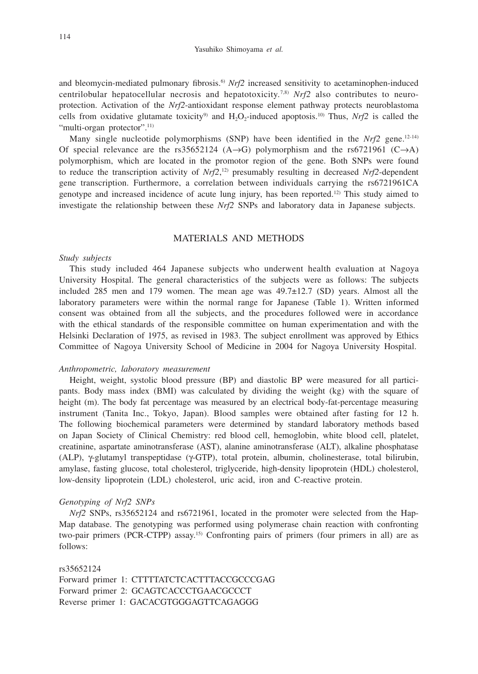and bleomycin-mediated pulmonary fibrosis.6) *Nrf2* increased sensitivity to acetaminophen-induced centrilobular hepatocellular necrosis and hepatotoxicity.<sup>7,8)</sup>  $Nrf2$  also contributes to neuroprotection. Activation of the *Nrf2*-antioxidant response element pathway protects neuroblastoma cells from oxidative glutamate toxicity<sup>9</sup> and H<sub>2</sub>O<sub>2</sub>-induced apoptosis.<sup>10</sup> Thus,  $Nrf2$  is called the "multi-organ protector".<sup>11)</sup>

Many single nucleotide polymorphisms (SNP) have been identified in the  $Nrf2$  gene.<sup>12-14)</sup> Of special relevance are the rs35652124 (A→G) polymorphism and the rs6721961 (C→A) polymorphism, which are located in the promotor region of the gene. Both SNPs were found to reduce the transcription activity of *Nrf2*, 12) presumably resulting in decreased *Nrf2*-dependent gene transcription. Furthermore, a correlation between individuals carrying the rs6721961CA genotype and increased incidence of acute lung injury, has been reported.12) This study aimed to investigate the relationship between these *Nrf2* SNPs and laboratory data in Japanese subjects.

## MATERIALS AND METHODS

## *Study subjects*

This study included 464 Japanese subjects who underwent health evaluation at Nagoya University Hospital. The general characteristics of the subjects were as follows: The subjects included 285 men and 179 women. The mean age was  $49.7 \pm 12.7$  (SD) years. Almost all the laboratory parameters were within the normal range for Japanese (Table 1). Written informed consent was obtained from all the subjects, and the procedures followed were in accordance with the ethical standards of the responsible committee on human experimentation and with the Helsinki Declaration of 1975, as revised in 1983. The subject enrollment was approved by Ethics Committee of Nagoya University School of Medicine in 2004 for Nagoya University Hospital.

## *Anthropometric, laboratory measurement*

Height, weight, systolic blood pressure (BP) and diastolic BP were measured for all participants. Body mass index (BMI) was calculated by dividing the weight (kg) with the square of height (m). The body fat percentage was measured by an electrical body-fat-percentage measuring instrument (Tanita Inc., Tokyo, Japan). Blood samples were obtained after fasting for 12 h. The following biochemical parameters were determined by standard laboratory methods based on Japan Society of Clinical Chemistry: red blood cell, hemoglobin, white blood cell, platelet, creatinine, aspartate aminotransferase (AST), alanine aminotransferase (ALT), alkaline phosphatase  $(ALP)$ ,  $\gamma$ -glutamyl transpeptidase ( $\gamma$ -GTP), total protein, albumin, cholinesterase, total bilirubin, amylase, fasting glucose, total cholesterol, triglyceride, high-density lipoprotein (HDL) cholesterol, low-density lipoprotein (LDL) cholesterol, uric acid, iron and C-reactive protein.

### *Genotyping of Nrf2 SNPs*

*Nrf2* SNPs, rs35652124 and rs6721961, located in the promoter were selected from the Hap-Map database. The genotyping was performed using polymerase chain reaction with confronting two-pair primers (PCR-CTPP) assay.15) Confronting pairs of primers (four primers in all) are as follows:

rs35652124 Forward primer 1: CTTTTATCTCACTTTACCGCCCGAG Forward primer 2: GCAGTCACCCTGAACGCCCT Reverse primer 1: GACACGTGGGAGTTCAGAGGG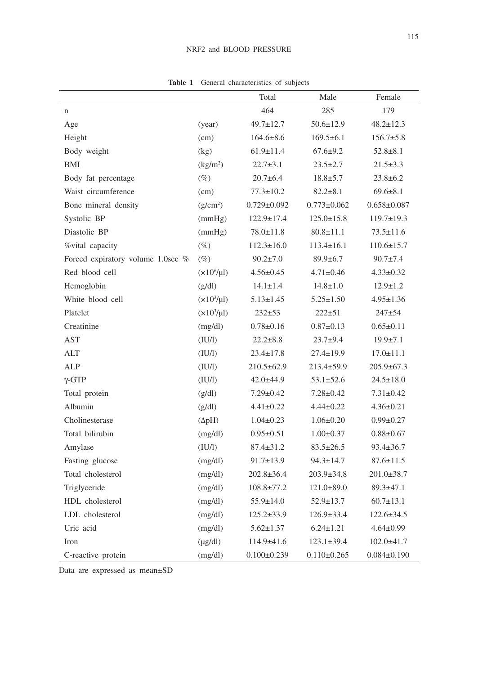# NRF2 and BLOOD PRESSURE

|                                   |                      | Total             | Male              | Female            |
|-----------------------------------|----------------------|-------------------|-------------------|-------------------|
| n                                 |                      | 464               | 285               | 179               |
| Age                               | (year)               | $49.7 \pm 12.7$   | $50.6 \pm 12.9$   | $48.2 \pm 12.3$   |
| Height                            | (cm)                 | $164.6 \pm 8.6$   | $169.5 \pm 6.1$   | $156.7 \pm 5.8$   |
| Body weight                       | (kg)                 | $61.9 \pm 11.4$   | $67.6 \pm 9.2$    | $52.8 \pm 8.1$    |
| BMI                               | (kg/m <sup>2</sup> ) | $22.7 \pm 3.1$    | $23.5 \pm 2.7$    | $21.5 \pm 3.3$    |
| Body fat percentage               | $(\%)$               | $20.7 + 6.4$      | $18.8 \pm 5.7$    | $23.8 \pm 6.2$    |
| Waist circumference               | (cm)                 | $77.3 \pm 10.2$   | $82.2 \pm 8.1$    | $69.6 \pm 8.1$    |
| Bone mineral density              | (g/cm <sup>2</sup> ) | $0.729 \pm 0.092$ | $0.773 \pm 0.062$ | $0.658 \pm 0.087$ |
| Systolic BP                       | (mmHg)               | $122.9 \pm 17.4$  | $125.0 \pm 15.8$  | $119.7 \pm 19.3$  |
| Diastolic BP                      | (mmHg)               | $78.0 \pm 11.8$   | $80.8 \pm 11.1$   | $73.5 \pm 11.6$   |
| %vital capacity                   | $(\%)$               | $112.3 \pm 16.0$  | $113.4 \pm 16.1$  | $110.6 \pm 15.7$  |
| Forced expiratory volume 1.0sec % | $(\%)$               | $90.2 \pm 7.0$    | $89.9 \pm 6.7$    | $90.7 \pm 7.4$    |
| Red blood cell                    | $(x106/\mu l)$       | $4.56 \pm 0.45$   | $4.71 \pm 0.46$   | $4.33 \pm 0.32$   |
| Hemoglobin                        | (g/dl)               | $14.1 \pm 1.4$    | $14.8 \pm 1.0$    | $12.9 \pm 1.2$    |
| White blood cell                  | $(x10^3/\mu l)$      | $5.13 \pm 1.45$   | $5.25 \pm 1.50$   | $4.95 \pm 1.36$   |
| Platelet                          | $(x10^3/\mu l)$      | $232 + 53$        | $222 \pm 51$      | $247 + 54$        |
| Creatinine                        | (mg/dl)              | $0.78 \pm 0.16$   | $0.87 \pm 0.13$   | $0.65 \pm 0.11$   |
| AST                               | (IU/I)               | $22.2 \pm 8.8$    | $23.7+9.4$        | $19.9 \pm 7.1$    |
| <b>ALT</b>                        | (IU/I)               | $23.4 \pm 17.8$   | $27.4 \pm 19.9$   | $17.0 \pm 11.1$   |
| ALP                               | (IU/I)               | $210.5 \pm 62.9$  | $213.4 \pm 59.9$  | $205.9 \pm 67.3$  |
| $\gamma$ -GTP                     | (IV/I)               | $42.0 \pm 44.9$   | $53.1 \pm 52.6$   | $24.5 \pm 18.0$   |
| Total protein                     | (g/dl)               | $7.29 \pm 0.42$   | $7.28 \pm 0.42$   | $7.31 \pm 0.42$   |
| Albumin                           | (g/dl)               | $4.41 \pm 0.22$   | $4.44 \pm 0.22$   | $4.36 \pm 0.21$   |
| Cholinesterase                    | $(\Delta pH)$        | $1.04 \pm 0.23$   | $1.06 \pm 0.20$   | $0.99 \pm 0.27$   |
| Total bilirubin                   | (mg/dl)              | $0.95 \pm 0.51$   | $1.00 \pm 0.37$   | $0.88 \pm 0.67$   |
| Amylase                           | (IU/I)               | $87.4 \pm 31.2$   | $83.5 \pm 26.5$   | $93.4 \pm 36.7$   |
| Fasting glucose                   | (mg/dl)              | $91.7 \pm 13.9$   | $94.3 \pm 14.7$   | $87.6 \pm 11.5$   |
| Total cholesterol                 | (mg/dl)              | 202.8±36.4        | $203.9 \pm 34.8$  | $201.0 \pm 38.7$  |
| Triglyceride                      | (mg/dl)              | $108.8 \pm 77.2$  | $121.0 \pm 89.0$  | $89.3 \pm 47.1$   |
| HDL cholesterol                   | (mg/dl)              | $55.9 \pm 14.0$   | $52.9 \pm 13.7$   | $60.7 \pm 13.1$   |
| LDL cholesterol                   | (mg/dl)              | $125.2 \pm 33.9$  | $126.9 \pm 33.4$  | $122.6 \pm 34.5$  |
| Uric acid                         | (mg/dl)              | $5.62 \pm 1.37$   | $6.24 \pm 1.21$   | $4.64 \pm 0.99$   |
| Iron                              | $(\mu g/dl)$         | 114.9±41.6        | $123.1 \pm 39.4$  | $102.0 \pm 41.7$  |
| C-reactive protein                | (mg/dl)              | $0.100 \pm 0.239$ | $0.110 \pm 0.265$ | $0.084 \pm 0.190$ |

**Table 1** General characteristics of subjects

Data are expressed as mean±SD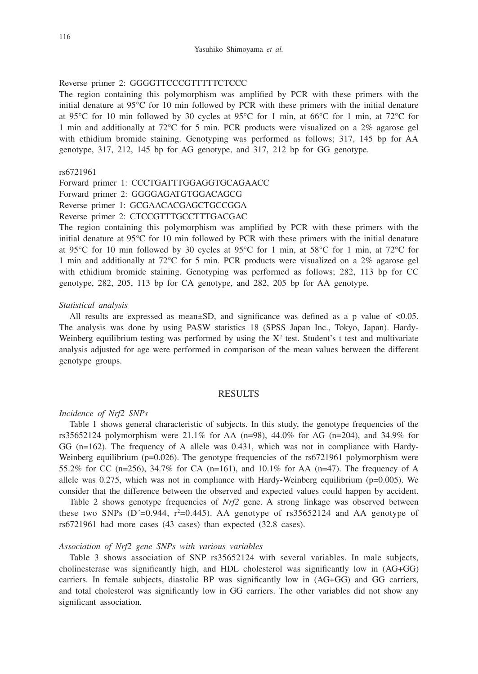#### Reverse primer 2: GGGGTTCCCGTTTTTCTCCC

The region containing this polymorphism was amplified by PCR with these primers with the initial denature at 95°C for 10 min followed by PCR with these primers with the initial denature at 95°C for 10 min followed by 30 cycles at 95°C for 1 min, at 66°C for 1 min, at 72°C for 1 min and additionally at 72°C for 5 min. PCR products were visualized on a 2% agarose gel with ethidium bromide staining. Genotyping was performed as follows; 317, 145 bp for AA genotype, 317, 212, 145 bp for AG genotype, and 317, 212 bp for GG genotype.

#### rs6721961

- Forward primer 1: CCCTGATTTGGAGGTGCAGAACC
- Forward primer 2: GGGGAGATGTGGACAGCG
- Reverse primer 1: GCGAACACGAGCTGCCGGA

#### Reverse primer 2: CTCCGTTTGCCTTTGACGAC

The region containing this polymorphism was amplified by PCR with these primers with the initial denature at 95°C for 10 min followed by PCR with these primers with the initial denature at 95 $\degree$ C for 10 min followed by 30 cycles at 95 $\degree$ C for 1 min, at 58 $\degree$ C for 1 min, at 72 $\degree$ C for 1 min and additionally at 72°C for 5 min. PCR products were visualized on a 2% agarose gel with ethidium bromide staining. Genotyping was performed as follows; 282, 113 bp for CC genotype, 282, 205, 113 bp for CA genotype, and 282, 205 bp for AA genotype.

#### *Statistical analysis*

All results are expressed as mean $\pm$ SD, and significance was defined as a p value of  $\lt 0.05$ . The analysis was done by using PASW statistics 18 (SPSS Japan Inc., Tokyo, Japan). Hardy-Weinberg equilibrium testing was performed by using the  $X^2$  test. Student's t test and multivariate analysis adjusted for age were performed in comparison of the mean values between the different genotype groups.

#### **RESULTS**

## *Incidence of Nrf2 SNPs*

Table 1 shows general characteristic of subjects. In this study, the genotype frequencies of the rs35652124 polymorphism were  $21.1\%$  for AA (n=98), 44.0% for AG (n=204), and 34.9% for GG  $(n=162)$ . The frequency of A allele was 0.431, which was not in compliance with Hardy-Weinberg equilibrium ( $p=0.026$ ). The genotype frequencies of the rs6721961 polymorphism were 55.2% for CC (n=256), 34.7% for CA (n=161), and 10.1% for AA (n=47). The frequency of A allele was  $0.275$ , which was not in compliance with Hardy-Weinberg equilibrium (p=0.005). We consider that the difference between the observed and expected values could happen by accident.

Table 2 shows genotype frequencies of *Nrf2* gene. A strong linkage was observed between these two SNPs (D<sup> $=$ </sup>=0.944, r<sup>2</sup>=0.445). AA genotype of rs35652124 and AA genotype of rs6721961 had more cases (43 cases) than expected (32.8 cases).

### *Association of Nrf2 gene SNPs with various variables*

Table 3 shows association of SNP rs35652124 with several variables. In male subjects, cholinesterase was significantly high, and HDL cholesterol was significantly low in (AG+GG) carriers. In female subjects, diastolic BP was significantly low in (AG+GG) and GG carriers, and total cholesterol was significantly low in GG carriers. The other variables did not show any significant association.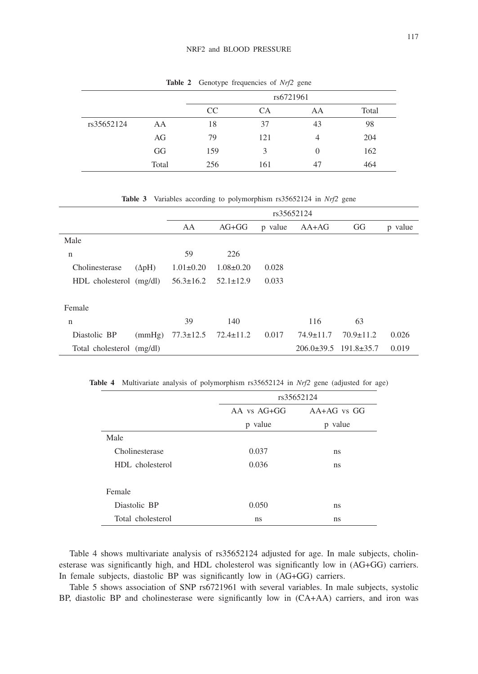|            |       | rs6721961 |     |                |       |
|------------|-------|-----------|-----|----------------|-------|
|            |       | CC        | CА  | AA             | Total |
| rs35652124 | AA    | 18        | 37  | 43             | 98    |
|            | AG    | 79        | 121 | 4              | 204   |
|            | GG    | 159       | 3   | $\overline{0}$ | 162   |
|            | Total | 256       | 161 | 47             | 464   |

**Table 2** Genotype frequencies of *Nrf2* gene

**Table 3** Variables according to polymorphism rs35652124 in *Nrf2* gene

|                           |               | rs35652124      |                 |         |                                |                 |         |
|---------------------------|---------------|-----------------|-----------------|---------|--------------------------------|-----------------|---------|
|                           |               | AA              | $AG+GG$         | p value | $AA+AG$                        | GG              | p value |
| Male                      |               |                 |                 |         |                                |                 |         |
| n                         |               | 59              | 226             |         |                                |                 |         |
| Cholinesterase            | $(\Delta pH)$ | $1.01 \pm 0.20$ | $1.08 \pm 0.20$ | 0.028   |                                |                 |         |
| HDL cholesterol (mg/dl)   |               | $56.3 \pm 16.2$ | $52.1 \pm 12.9$ | 0.033   |                                |                 |         |
|                           |               |                 |                 |         |                                |                 |         |
| Female                    |               |                 |                 |         |                                |                 |         |
| n                         |               | 39              | 140             |         | 116                            | 63              |         |
| Diastolic BP              | (mmHg)        | $77.3 \pm 12.5$ | $72.4 \pm 11.2$ | 0.017   | $74.9 \pm 11.7$                | $70.9 \pm 11.2$ | 0.026   |
| Total cholesterol (mg/dl) |               |                 |                 |         | $206.0\pm39.5$ 191.8 $\pm35.7$ |                 | 0.019   |

**Table 4** Multivariate analysis of polymorphism rs35652124 in *Nrf2* gene (adjusted for age)

|                   |                 | rs35652124      |  |  |  |
|-------------------|-----------------|-----------------|--|--|--|
|                   | $AA$ vs $AG+GG$ | $AA+AG$ vs $GG$ |  |  |  |
|                   | p value         | p value         |  |  |  |
| Male              |                 |                 |  |  |  |
| Cholinesterase    | 0.037           | ns              |  |  |  |
| HDL cholesterol   | 0.036           | ns              |  |  |  |
| Female            |                 |                 |  |  |  |
| Diastolic BP      | 0.050           | ns              |  |  |  |
| Total cholesterol | ns              | ns              |  |  |  |

Table 4 shows multivariate analysis of rs35652124 adjusted for age. In male subjects, cholinesterase was significantly high, and HDL cholesterol was significantly low in (AG+GG) carriers. In female subjects, diastolic BP was significantly low in (AG+GG) carriers.

Table 5 shows association of SNP rs6721961 with several variables. In male subjects, systolic BP, diastolic BP and cholinesterase were significantly low in (CA+AA) carriers, and iron was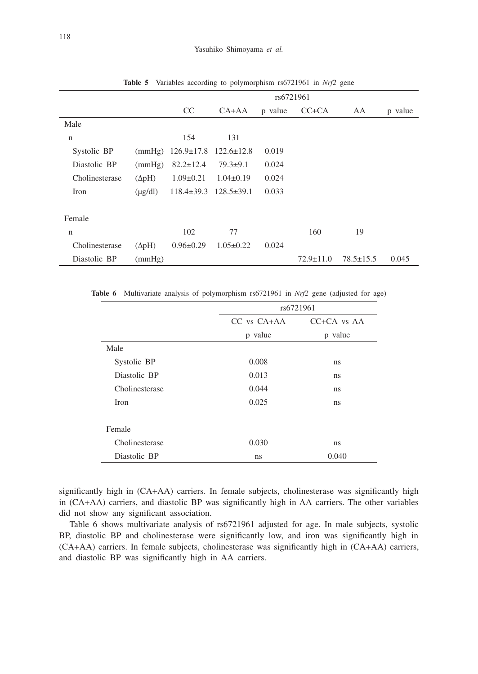|                |               | rs6721961        |                  |         |                 |                 |         |
|----------------|---------------|------------------|------------------|---------|-----------------|-----------------|---------|
|                |               | CC               | $CA+AA$          | p value | $CC+CA$         | AA              | p value |
| Male           |               |                  |                  |         |                 |                 |         |
| n              |               | 154              | 131              |         |                 |                 |         |
| Systolic BP    | (mmHg)        | $126.9 \pm 17.8$ | $122.6 \pm 12.8$ | 0.019   |                 |                 |         |
| Diastolic BP   | (mmHg)        | $82.2 \pm 12.4$  | $79.3+9.1$       | 0.024   |                 |                 |         |
| Cholinesterase | $(\Delta pH)$ | $1.09 \pm 0.21$  | $1.04 \pm 0.19$  | 0.024   |                 |                 |         |
| Iron           | $(\mu g/dl)$  | $118.4 \pm 39.3$ | $128.5 \pm 39.1$ | 0.033   |                 |                 |         |
|                |               |                  |                  |         |                 |                 |         |
| Female         |               |                  |                  |         |                 |                 |         |
| $\mathbf n$    |               | 102              | 77               |         | 160             | 19              |         |
| Cholinesterase | $(\Delta pH)$ | $0.96 \pm 0.29$  | $1.05 \pm 0.22$  | 0.024   |                 |                 |         |
| Diastolic BP   | (mmHg)        |                  |                  |         | $72.9 \pm 11.0$ | $78.5 \pm 15.5$ | 0.045   |

**Table 5** Variables according to polymorphism rs6721961 in *Nrf2* gene

**Table 6** Multivariate analysis of polymorphism rs6721961 in *Nrf2* gene (adjusted for age)

|                | rs6721961       |                     |  |  |
|----------------|-----------------|---------------------|--|--|
|                | $CC$ vs $CA+AA$ | $C C + C A$ vs $AA$ |  |  |
|                | p value         | p value             |  |  |
| Male           |                 |                     |  |  |
| Systolic BP    | 0.008           | ns                  |  |  |
| Diastolic BP   | 0.013           | ns                  |  |  |
| Cholinesterase | 0.044           | ns                  |  |  |
| Iron           | 0.025           | ns                  |  |  |
|                |                 |                     |  |  |
| Female         |                 |                     |  |  |
| Cholinesterase | 0.030           | ns                  |  |  |
| Diastolic BP   | ns              | 0.040               |  |  |

significantly high in (CA+AA) carriers. In female subjects, cholinesterase was significantly high in (CA+AA) carriers, and diastolic BP was significantly high in AA carriers. The other variables did not show any significant association.

Table 6 shows multivariate analysis of rs6721961 adjusted for age. In male subjects, systolic BP, diastolic BP and cholinesterase were significantly low, and iron was significantly high in (CA+AA) carriers. In female subjects, cholinesterase was significantly high in (CA+AA) carriers, and diastolic BP was significantly high in AA carriers.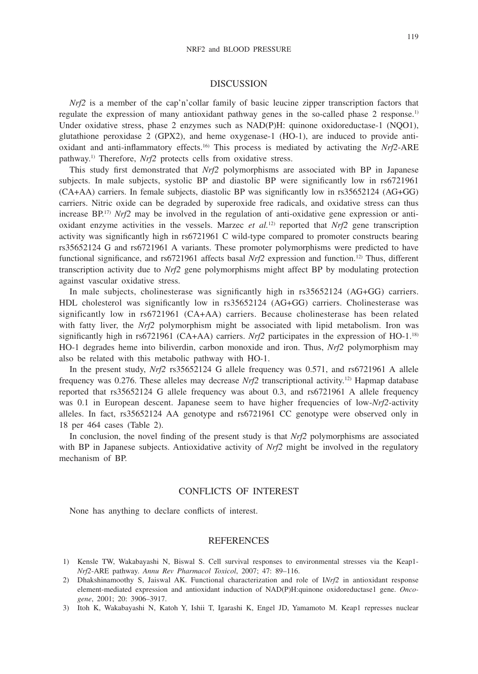#### DISCUSSION

*Nrf2* is a member of the cap'n'collar family of basic leucine zipper transcription factors that regulate the expression of many antioxidant pathway genes in the so-called phase 2 response.<sup>1)</sup> Under oxidative stress, phase 2 enzymes such as NAD(P)H: quinone oxidoreductase-1 (NQO1), glutathione peroxidase 2 (GPX2), and heme oxygenase-1 (HO-1), are induced to provide antioxidant and anti-inflammatory effects.16) This process is mediated by activating the *Nrf2*-ARE pathway.1) Therefore, *Nrf2* protects cells from oxidative stress.

This study first demonstrated that *Nrf2* polymorphisms are associated with BP in Japanese subjects. In male subjects, systolic BP and diastolic BP were significantly low in rs6721961 (CA+AA) carriers. In female subjects, diastolic BP was significantly low in rs35652124 (AG+GG) carriers. Nitric oxide can be degraded by superoxide free radicals, and oxidative stress can thus increase  $BP^{17}$  *Nrf2* may be involved in the regulation of anti-oxidative gene expression or antioxidant enzyme activities in the vessels. Marzec *et al.*<sup>12)</sup> reported that  $Nr/2$  gene transcription activity was significantly high in rs6721961 C wild-type compared to promoter constructs bearing rs35652124 G and rs6721961 A variants. These promoter polymorphisms were predicted to have functional significance, and rs6721961 affects basal *Nrf2* expression and function.<sup>12)</sup> Thus, different transcription activity due to *Nrf2* gene polymorphisms might affect BP by modulating protection against vascular oxidative stress.

In male subjects, cholinesterase was significantly high in rs35652124 (AG+GG) carriers. HDL cholesterol was significantly low in rs35652124 (AG+GG) carriers. Cholinesterase was significantly low in rs6721961 (CA+AA) carriers. Because cholinesterase has been related with fatty liver, the *Nrf2* polymorphism might be associated with lipid metabolism. Iron was significantly high in rs6721961 (CA+AA) carriers. *Nrf2* participates in the expression of HO-1.<sup>18)</sup> HO-1 degrades heme into biliverdin, carbon monoxide and iron. Thus, *Nrf2* polymorphism may also be related with this metabolic pathway with HO-1.

In the present study, *Nrf2* rs35652124 G allele frequency was 0.571, and rs6721961 A allele frequency was  $0.276$ . These alleles may decrease *Nrf2* transcriptional activity.<sup>12)</sup> Hapmap database reported that rs35652124 G allele frequency was about 0.3, and rs6721961 A allele frequency was 0.1 in European descent. Japanese seem to have higher frequencies of low-*Nrf2*-activity alleles. In fact, rs35652124 AA genotype and rs6721961 CC genotype were observed only in 18 per 464 cases (Table 2).

In conclusion, the novel finding of the present study is that *Nrf2* polymorphisms are associated with BP in Japanese subjects. Antioxidative activity of *Nrf2* might be involved in the regulatory mechanism of BP.

## CONFLICTS OF INTEREST

None has anything to declare conflicts of interest.

#### REFERENCES

- 1) Kensle TW, Wakabayashi N, Biswal S. Cell survival responses to environmental stresses via the Keap1- *Nrf2*-ARE pathway. *Annu Rev Pharmacol Toxicol*, 2007; 47: 89–116.
- 2) Dhakshinamoothy S, Jaiswal AK. Functional characterization and role of I*Nrf2* in antioxidant response element-mediated expression and antioxidant induction of NAD(P)H:quinone oxidoreductase1 gene. *Oncogene*, 2001; 20: 3906–3917.
- 3) Itoh K, Wakabayashi N, Katoh Y, Ishii T, Igarashi K, Engel JD, Yamamoto M. Keap1 represses nuclear